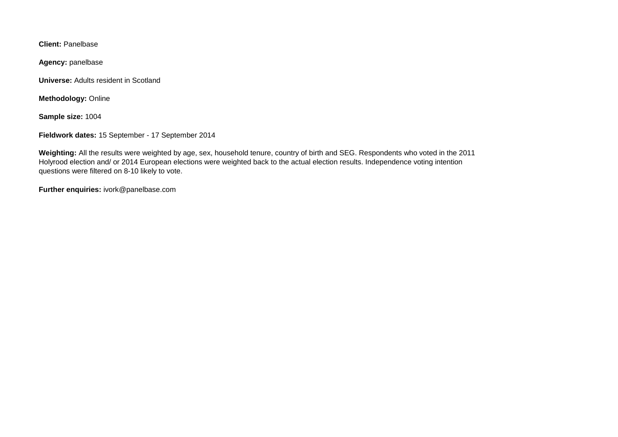**Client:** Panelbase

**Agency:** panelbase

**Universe:** Adults resident in Scotland

**Methodology:** Online

**Sample size:** 1004

**Fieldwork dates:** 15 September - 17 September 2014

**Weighting:** All the results were weighted by age, sex, household tenure, country of birth and SEG. Respondents who voted in the 2011 Holyrood election and/ or 2014 European elections were weighted back to the actual election results. Independence voting intention questions were filtered on 8-10 likely to vote.

**Further enquiries:** ivork@panelbase.com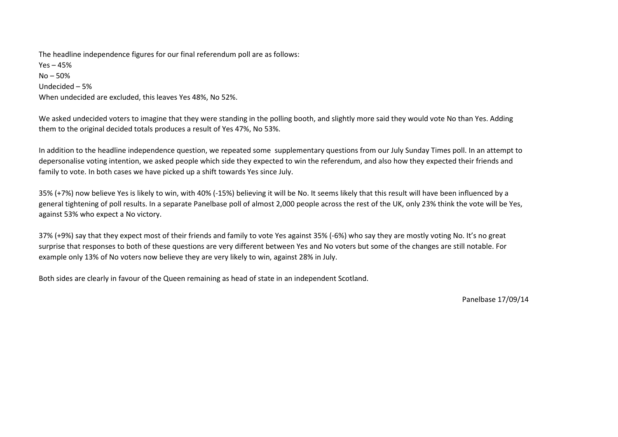The headline independence figures for our final referendum poll are as follows: Yes – 45% No – 50% Undecided – 5% When undecided are excluded, this leaves Yes 48%, No 52%.

We asked undecided voters to imagine that they were standing in the polling booth, and slightly more said they would vote No than Yes. Adding them to the original decided totals produces a result of Yes 47%, No 53%.

In addition to the headline independence question, we repeated some supplementary questions from our July Sunday Times poll. In an attempt to depersonalise voting intention, we asked people which side they expected to win the referendum, and also how they expected their friends and family to vote. In both cases we have picked up a shift towards Yes since July.

35% (+7%) now believe Yes is likely to win, with 40% (-15%) believing it will be No. It seems likely that this result will have been influenced by a general tightening of poll results. In a separate Panelbase poll of almost 2,000 people across the rest of the UK, only 23% think the vote will be Yes, against 53% who expect a No victory.

37% (+9%) say that they expect most of their friends and family to vote Yes against 35% (-6%) who say they are mostly voting No. It's no great surprise that responses to both of these questions are very different between Yes and No voters but some of the changes are still notable. For example only 13% of No voters now believe they are very likely to win, against 28% in July.

Both sides are clearly in favour of the Queen remaining as head of state in an independent Scotland.

Panelbase 17/09/14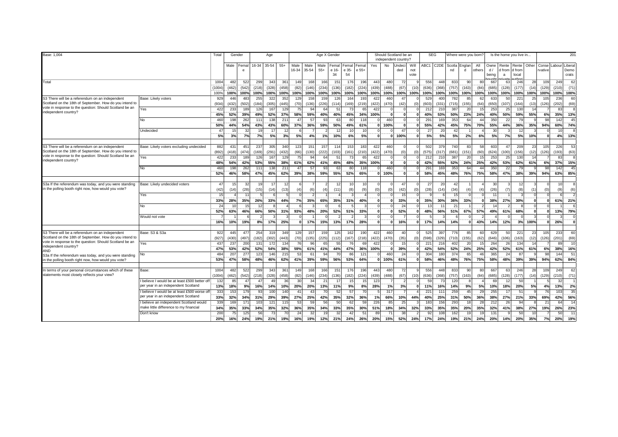| Base: 1,004                                                                                                                                                                                                                                                        |                                                                                     | Total                  | Gender               |                      | Age                  |                      |                      | Age X Gender        |                      |                      |                      |                           |                       | SEG<br>Should Scotland be an<br>independent country? |                           |                    |                     | Where were you born' |                                 |                      | Is the home you live in          |                        |                                |                     |                          | 201                |                                                             |                           |                   |  |
|--------------------------------------------------------------------------------------------------------------------------------------------------------------------------------------------------------------------------------------------------------------------|-------------------------------------------------------------------------------------|------------------------|----------------------|----------------------|----------------------|----------------------|----------------------|---------------------|----------------------|----------------------|----------------------|---------------------------|-----------------------|------------------------------------------------------|---------------------------|--------------------|---------------------|----------------------|---------------------------------|----------------------|----------------------------------|------------------------|--------------------------------|---------------------|--------------------------|--------------------|-------------------------------------------------------------|---------------------------|-------------------|--|
|                                                                                                                                                                                                                                                                    |                                                                                     |                        | Male Femal           | e                    |                      | 16-34 35-54          | $55+$                | Male<br>16-34       | Male<br>35-54        | Male<br>$55+$        | Femal<br>e 16-<br>34 | Femal<br>e 35-<br>54      | Fema<br>e 55+         | Yes                                                  | No                        | Jndeci<br>ded      | Will<br>not<br>vote |                      | ABC1 C2DE                       | nd                   | Scotla Englan<br>d               | All<br>others          | Owne<br>d/<br>being            | a                   | d from   d from<br>local |                    | Rente   Rente   Other   Conse   Labour   Liberal<br>rvative |                           | Demo<br>crats     |  |
| Total                                                                                                                                                                                                                                                              |                                                                                     | 1004<br>(1004)<br>100% | 482<br>(462)<br>100% | 522<br>(542)<br>100% | 299<br>(218)<br>100% | 343<br>(328)<br>100% | 361<br>(458)<br>100% | 149<br>(82)<br>100% | 168<br>(146)<br>100% | 166<br>(234)<br>100% | 151<br>(136)<br>100% | 176<br>(182)<br>100%      | 196<br>(224)<br>100%  | 443<br>(439)                                         | 480<br>(488)<br>100% 100% | 72<br>(67)<br>100% | (10)<br>100%        | 556<br>(636)<br>100% | 448<br>(368)<br>100%            | 833<br>(757)<br>100% | 90 <sup>1</sup><br>(163)<br>100% | 80<br>(84)<br>100%     | الصبيص<br>667<br>(685)<br>100% | 63<br>(128)<br>100% | 246<br>(177)<br>100%     | 28<br>(14)<br>100% | 109<br>(129)<br>100%                                        | 249<br>(210)<br>100% 100% | 62<br>(71)        |  |
| S3 There will be a referendum on an independent<br>Scotland on the 18th of September. How do you intend to                                                                                                                                                         | Base: Likely voters                                                                 | 929<br>(934)           | 446<br>(432)         | 483<br>(502)         | 255<br>(184)         | 322<br>(305)         | 352<br>(445)         | 129<br>(70)         | 158<br>(136)         | 159<br>(226)         | 126<br>(114)         | 164<br>(169)              | 193<br>(219)          | 422<br>(422)                                         | 460<br>(470)              | 47<br>(42)         |                     | 529<br>(603)         | 400<br>(33)                     | 782<br>(715)         | 85<br>(155)                      | 62<br>(64)             | 633<br>(650)                   | 50<br>(107)         | 221<br>(164)             | 25<br>(13)         | 105<br>(126)                                                | 236<br>(202)              | 60<br>(69)        |  |
| vote in response to the question: Should Scotland be an<br>independent country?                                                                                                                                                                                    | Yes                                                                                 | 422<br>45%             | 233<br>52%           | 189<br>39%           | 126<br>49%           | 167<br>52%           | 129<br>37%           | 75<br>58%           | 94<br>59%            | 64<br>40%            | 51<br>40%            | 73<br>45%                 | 65<br>34%             | 422<br>100%                                          |                           | $\Omega$           |                     | 212<br>40%           | 210<br>53%                      | 387<br>50%           | 20<br>23%                        | 24%                    | 253<br>40%                     | 25<br>50%           | 130<br>59%               | 14<br>55%          | 6%                                                          | 83<br>35%                 | 13%               |  |
|                                                                                                                                                                                                                                                                    | No                                                                                  | 460<br>50%             | 198<br>44%           | 262<br>54%           | 11'<br>43%           | 138<br>43%           | 21'<br>60%           | 47<br>37%           | 57<br>36%            | 93<br>59%            | 63<br>50%            | 80<br>49%                 | 118<br>61%            | 0                                                    | 460<br>100%               |                    |                     | 291<br>55%           | 169<br>42%                      | 353<br>45%           | 64<br>75%                        | $\Delta \Delta$<br>70% | 350<br>55%                     | 22<br>44%           | 79<br>36%                | 35%                | 98<br>94%                                                   | 142<br>60%                | 45<br>74%         |  |
|                                                                                                                                                                                                                                                                    | Undecided                                                                           | $\overline{4}$<br>5%   | 15<br>3%             | -32<br>7%            | 19<br>7%             | 17<br>5%             | 1<br>3%              | 5%                  | 4%                   | 1%                   | 12<br>10%            | 10<br>6%                  | 10<br>5%              | $\Omega$                                             |                           | 47<br>100%         |                     | 27<br>5%             | 5%                              | 42<br>5%             | 2%                               | 6%                     | 3 <sup>0</sup><br>5%           | 7%                  | 12<br>5%                 | 10%                |                                                             | 10 <sup>1</sup><br>4%     | 13%               |  |
| S3 There will be a referendum on an independent                                                                                                                                                                                                                    | Base: Likely voters excluding undecided                                             | 882                    | 431                  | 451                  | 237                  | 305                  | 340                  | 123                 | 151                  | 157                  | 114                  | 153                       | 183                   | 422                                                  | 460                       |                    |                     | 502                  | 379                             | 740                  | 83                               | 58                     | 603                            | 47                  | 209                      | 23                 | 105                                                         | 226                       | 53                |  |
| Scotland on the 18th of September. How do you intend to<br>vote in response to the question: Should Scotland be an<br>independent country?                                                                                                                         | Yes                                                                                 | (892)<br>422<br>48%    | (418)<br>233<br>54%  | (474)<br>189<br>42%  | (169)<br>126<br>53%  | (291)<br>167<br>55%  | (432)<br>129<br>38%  | (66)<br>75<br>61%   | (130)<br>94<br>62%   | (222)<br>64<br>41%   | (103)<br>51<br>45%   | (161)<br>73<br>48%        | (210)<br>65<br>35%    | (422)<br>422<br>100%                                 | (470)                     | (0)                |                     | (575)<br>212<br>42%  | (317)<br>21(<br>55 <sup>o</sup> | (681)<br>387<br>52%  | (151)<br>20<br>24%               | (60)<br>25%            | (624)<br>25<br>42%             | (100)<br>25<br>53%  | (156)<br>130<br>62%      | (12)<br>14<br>61%  | (126)<br>6%                                                 | (193)<br>83<br>37%        | (63)<br>15%       |  |
|                                                                                                                                                                                                                                                                    | <b>No</b>                                                                           | 460<br>52%             | 198<br>46%           | 262<br>58%           | 11<br>47%            | 138<br>45%           | 21'<br>62%           | 47<br>39%           | $5^{\circ}$<br>38%   | 93<br>59%            | 63<br>55%            | 80<br>52%                 | 118<br>65%            | n                                                    | 460<br>100%               |                    |                     | 291<br>58%           | 16<br>45%                       | 353<br>48%           | 64<br>76%                        | 75%                    | 350<br>58%                     | 22<br>47%           | 70<br>38%                | 39%                | 98<br>94%                                                   | 142<br>63%                | 45<br>85%         |  |
| S3a If the referendum was today, and you were standing<br>in the polling booth right now, how would you vote?                                                                                                                                                      | Base: Likely undecided voters                                                       | 47                     | 15                   | 32                   | 19                   | 17                   | 12                   |                     |                      |                      | 12                   | 10 <sup>1</sup>           |                       |                                                      |                           | 47                 |                     | 27                   |                                 | 42                   |                                  |                        | 30                             |                     | 12                       |                    |                                                             | 10 <sup>1</sup>           |                   |  |
|                                                                                                                                                                                                                                                                    | Yes                                                                                 | (42)                   | (14)                 | (28)                 | (15)                 | (14)                 | (13)                 | (4)                 | (6)                  | (4)                  | (11)                 |                           | (9)                   | (0)                                                  | (0)                       | (42)               |                     | (28)                 | (14)                            | (34)<br>15           | $\overline{a}$                   | $\overline{4}$         | (26)                           | (7)                 | (8)                      |                    | (0)                                                         | (9)                       | (6)               |  |
|                                                                                                                                                                                                                                                                    | No                                                                                  | 33%<br>$\mathfrak{p}$  | 28%<br>10            | 35%                  | 26%                  | 33%                  | 44%                  | 7%                  | 35%                  | 65%                  | 35%                  | 31%                       | 40%                   | $\mathbf{0}$<br>$\Omega$                             |                           | 33%<br>24          |                     | 35%<br>13            | 30%                             | 36%<br>21            | 33%                              |                        | 38%                            | 27%                 | 30%                      |                    |                                                             | 61%                       | 21%               |  |
|                                                                                                                                                                                                                                                                    | Would not vote                                                                      | 52%<br>16%             | 63%<br>10%           | 46%<br>19%           | 66%<br>8%            | 50%<br>17%           | 31%<br>25%           | 93%<br>$\mathbf{0}$ | 48%<br>17%           | 20%<br>15%           | 52%<br>13%           | 51%<br>17%                | 33%<br>28%            | $\mathbf{0}$<br>$\Omega$<br>o                        |                           | 52%<br>16%         |                     | 48%<br>17%           | 56°<br>14%                      | 51%<br>14%           | 67%<br>$\mathbf{0}$              | 57%<br>43%             | 49%<br>14%                     | 61%<br>12%          | 68%                      | 3% 100%            |                                                             | 13%<br>26%                | 79%               |  |
| S3 There will be a referendum on an independent                                                                                                                                                                                                                    | Base: S3 & S3a                                                                      | 922                    | 445                  | 477                  | 254                  | 319                  | 349                  | 129                 | 157                  | 159                  | 125                  | 162                       | 190                   | 422                                                  | 460                       | 40                 |                     | 525                  | 39                              | 776                  | 85                               | 60                     | 629                            | 50                  | 221                      | 23                 | 105                                                         | 233                       | 60                |  |
| Scotland on the 18th of September. How do you intend to<br>vote in response to the question: Should Scotland be an<br>independent country?<br>AND<br>S3a If the referendum was today, and you were standing<br>in the polling booth right now, how would you vote? | Yes                                                                                 | (927)<br>437<br>47%    | (430)<br>237<br>53%  | (497)<br>200<br>42%  | (182)<br>13'<br>52%  | (302)<br>172<br>54%  | (443)<br>134<br>38%  | (70)<br>76<br>59%   | (135)<br>96<br>61%   | (225)<br>65<br>41%   | (112)<br>55<br>44%   | (167)<br><b>76</b><br>47% | (218)<br>69<br>36%    | (422)<br>422<br>100%                                 | (470)                     | (35)<br>15<br>39%  |                     | (598)<br>221<br>42%  | (329)<br>216<br>54%             | (710)<br>402<br>52%  | (155)<br>20<br>24%               | (62)<br>25%            | (646)<br>264<br>42%            | (106)<br>26<br>52%  | (163)<br>134<br>61%      | (12)<br>14<br>61%  | (126)<br>6%                                                 | (201)<br>89<br>38%        | (69)<br>10<br>16% |  |
|                                                                                                                                                                                                                                                                    |                                                                                     | 484<br>53%             | 207<br>47%           | 277<br>58%           | 123<br>48%           | 146<br>46%           | 215<br>62%           | 53<br>41%           | 61<br>39%            | 94<br>59%            | 70<br>56%            | 86<br>53%                 | $12^{\circ}$<br>64%   | 0                                                    | 460<br>100%               | 24<br>61%          |                     | 304<br>58%           | 18<br>46%                       | 374<br>48%           | 65<br>76%                        | 46<br>75%              | 365<br>58%                     | 24<br>48%           | 87<br>39%                | 39%                | 98<br>94%                                                   | 144<br>62%                | 51<br>84%         |  |
|                                                                                                                                                                                                                                                                    | Base:                                                                               | 1004                   | 482                  | 522                  | 299                  | 343                  | 361                  | 149                 | 168                  | 166                  | 151                  | 176                       | 196                   | 443                                                  | 480                       | 72                 |                     | 556                  | 448                             | 833                  | 90 <sub>1</sub>                  | 80                     | 667                            | 63                  | 246                      | 28                 | 109                                                         | 249                       | 62                |  |
| In terms of your personal circumstances which of these<br>statements most closely reflects your view?                                                                                                                                                              |                                                                                     | (1004)                 | (462)<br>85          | (542)<br>47          | (218)<br>47          | (328)<br>49          | (458)<br>36          | (82)<br>30          | (146)<br>34          | (234)                | (136)<br>17          | (182)                     | (224)<br>15           | (439)<br>123                                         | (488)                     | (67)               | (10)                | (636)<br>59          | (368)                           | (757)                | (163)<br>R                       | (84)                   | (685)<br>69                    | (128)               | (177)<br>50              | (14)               | (129)                                                       | (210)                     | (71)              |  |
|                                                                                                                                                                                                                                                                    | I believe I would be at least £500 better of<br>per year in an independent Scotland | 132<br>13%             | 18%                  | 9%                   | 16%                  | 14%                  | 10%                  | 20%                 | 20%<br>43            | 21<br>13%            | 11%                  | 15<br>9%                  | 8%                    | 28%<br>51                                            | 1%                        | 3%                 |                     | 11%                  | 16%                             | 120<br>14%           | 9%                               | 5%<br>$\overline{2}$   | 10%                            | 12<br>18%           | 20%                      | 5%                 | 4%                                                          | 32<br>13%                 | 2%                |  |
|                                                                                                                                                                                                                                                                    | believe I would be at least £500 worse of<br>per year in an independent Scotland    | 333<br>33%             | 153<br>32%           | 179<br>34%           | 93<br>31%            | 100<br>29%           | 140<br>39%           | 41<br>27%           | 25%                  | 70<br>42%            | 52<br>35%            | 57<br>32%                 | 70<br>36%             | 1%                                                   | 317<br>66%                | 10%                | 44%                 | 221<br>40%           | 11<br>25%                       | 259<br>31%           | 45<br>50%                        | 36%                    | 255<br>38%                     | 17<br>27%           | 51<br>21%                | 33%                | 76<br>69%                                                   | 103<br>42%                | 35<br>56%         |  |
|                                                                                                                                                                                                                                                                    | believe an independent Scotland would<br>make little difference to my financial     | 339<br>34%             | 169<br>35%           | 171<br>33%           | 103<br>34%           | 121<br>35%           | 115<br>32%           | 53<br>36%           | 59<br>35%            | 56<br>34%            | 50<br>33%            | 62<br>35%                 | 59<br>30%             | 226<br>51%                                           | 85<br>18%                 | 25<br>34%          | 32%                 | 183<br>33%           | 15<br>35%                       | 293<br>35%           | 18<br>20%                        | $\mathfrak{p}$<br>35%  | 21<br>32%                      | 26<br>41%           | 94<br>38%                | 27%                | 21<br>19%                                                   | 64<br>26%                 | 14<br>23%         |  |
|                                                                                                                                                                                                                                                                    | Don't know                                                                          | 200<br>20%             | 75<br>16%            | 125<br>24%           | 56<br>19%            | 73<br>21%            | 7(<br>19%            | 24<br>16%           | 32<br>19%            | 19<br>12%            | 32<br>21%            | 42<br>24%                 | 5 <sup>′</sup><br>26% | 89<br>20%                                            | 71<br>15%                 | 38<br>52%          | 24%                 | 92<br>17%            | 10<br>24%                       | 162<br>19%           | 21%                              | 24%                    | 13<br>20%                      | 14%                 | 50<br>20%                | 35%                | 7%                                                          | <b>50</b><br>20%          | 19%               |  |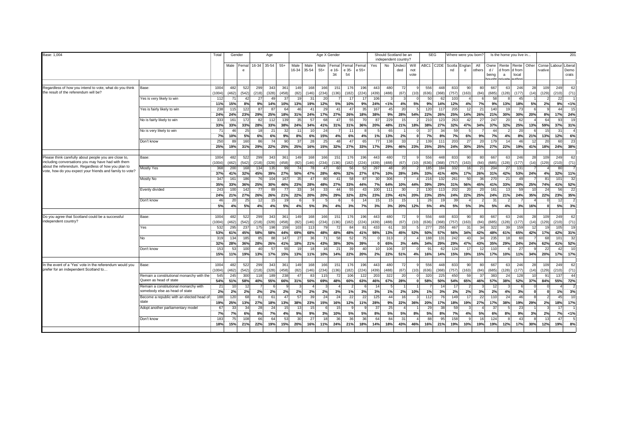| Base: 1,004                                                                                                                                                                                                                    |                                                                     | Total                         | Gender                       |                       | Age             |                      |                        |               | Age X Gender           |                                 |                       |                     |                     |                       | Should Scotland be an<br>independent country? |                     | <b>SEG</b>        |                |                        | Where were you born? |                                 |                     | Is the home you live in                       |                    |            |                                |                   | 201                   |
|--------------------------------------------------------------------------------------------------------------------------------------------------------------------------------------------------------------------------------|---------------------------------------------------------------------|-------------------------------|------------------------------|-----------------------|-----------------|----------------------|------------------------|---------------|------------------------|---------------------------------|-----------------------|---------------------|---------------------|-----------------------|-----------------------------------------------|---------------------|-------------------|----------------|------------------------|----------------------|---------------------------------|---------------------|-----------------------------------------------|--------------------|------------|--------------------------------|-------------------|-----------------------|
|                                                                                                                                                                                                                                |                                                                     |                               | Male<br>Femal<br>$\epsilon$  |                       | 16-34 35-54 55+ |                      | Male<br>16-34          | Male<br>35-54 | Male<br>$55+$          | Femal Femal Fema<br>e 16-<br>34 | e 35-<br>54           | e 55+               | Yes                 | No                    | <b>Undecil</b><br>ded                         | Will<br>not<br>vote | ABC1 C2DE         |                | Scotla<br>nd           | Englan<br>d          | All<br>others                   | Owne<br>d/<br>being | Rente Rente Other<br>d from<br>$\overline{a}$ | d from<br>local    |            | Conse Labour Liberal<br>vative |                   | Demo<br>crats         |
| Regardless of how you intend to vote, what do you think<br>the result of the referendum will be?                                                                                                                               | Base:                                                               | 1004<br>(1004                 | 482<br>522<br>(462)<br>(542) | 299<br>(218)          | 343<br>(328)    | 36'<br>(458)         | 149<br>(82)            | 168<br>(146)  | 166<br>(234)           | 151<br>(136)                    | 176<br>(182)          | 196<br>(224)        | 443                 | 480<br>(488)          | 72<br>(67)                                    | (10)                | 556               | 448<br>(368)   | 833                    | 90                   | 80<br>(84)                      | 667                 | 63<br>(128)                                   | 246                | (14)       | 109<br>(129)                   | 249               | 62                    |
|                                                                                                                                                                                                                                | Yes is very likely to win                                           | 112<br>11%                    | 71<br>42<br>15%<br>8%        | 27<br>9%              | 49<br>14%       | -31<br>10%           | 19<br>13%              | 31<br>19%     | 20<br>12%              | 5%                              | $1^{\circ}$<br>10%    | 9%                  | (439)<br>106<br>24% | 1%                    | 4%                                            | 5%                  | (636)<br>50<br>9% | 62<br>14%      | (757)<br>103<br>12%    | (163)<br>4%          | 7%                              | (685)<br>58<br>9%   | 13%                                           | (177)<br>45<br>18% | 5%         | 2%                             | (210)<br>22<br>9% | (71)<br>1%            |
|                                                                                                                                                                                                                                | Yes is fairly likely to win                                         | 238<br>24%                    | 122<br>115<br>23%<br>24%     | 87<br>29%             | 87<br>25%       | 64<br>18%            | 46<br>31%              | 41<br>24%     | 29<br>17%              | 41<br>27%                       | 47<br>26%             | 35<br>18%           | 167<br>38%          | 45<br>9%              | 20<br>28%                                     | 54%                 | 120<br>22%        | 117<br>26%     | 205<br>25%             | 12<br>14%            | 21<br>26%                       | 140<br>21%          | 1 <sup>5</sup><br>30%                         | 73<br>30%          | 20%        | $\alpha$<br>8%                 | 44<br>17%         | 15<br>24%             |
|                                                                                                                                                                                                                                | No is fairly likely to win                                          | 333<br>33%                    | 161<br>172<br>33%<br>33%     | 82<br>28%             | 112<br>33%      | 139<br>38%           | 35<br>24%              | 57<br>34%     | 68<br>41%              | 47<br>31%                       | 55<br>31%             | 70<br>36%           | 87<br>20%           | 229<br>48%            | 15<br>21%                                     | 18%                 | 210<br>38%        | 123<br>27%     | 263<br>32%             | 42<br>47%            | 27<br>34%                       | 247<br>37%          | 20<br>32%                                     | 62<br>25%          | 13%        | 64<br>59%                      | 93<br>37%         | 1 <sup>5</sup><br>31% |
|                                                                                                                                                                                                                                | No is very likely to win                                            | $\overline{7}$<br>$7^{\circ}$ | 46<br>25<br>10%<br>5%        | 18<br>6%              | 21<br>6%        | 3 <sup>2</sup><br>9% | 11<br>8%               | 10<br>6%      | 24<br>15%              | 4%                              | 11<br>6%              | 4%                  | 1%                  | 65<br>13%             | 2%                                            |                     | 37<br>7%          | 34<br>8%       | 59<br>7%               | 6%                   | 9%                              | 44<br>7%            | 4%                                            | 20<br>8%           | 21%        | 13%                            | 31<br>12%         | 6%                    |
|                                                                                                                                                                                                                                | Don't know                                                          | 250<br>25%                    | 160<br>89<br>31%<br>19%      | 86<br>29%             | 74<br>22%       | q<br>25%             | 37<br>25%              | 28<br>16%     | 25<br>15%              | 48<br>32%                       | 47<br>27%             | 65<br>33%           | 77<br>17%           | 138<br>29%            | 33<br>46%                                     | 23%                 | 139<br>25%        | 111<br>25%     | 203<br>24%             | 27<br>30%            | $\overline{2}$<br>25%           | 179<br>27%          | 14<br>22%                                     | 46<br>19%          | 41%        | 20<br>18%                      | 60<br>24%         | 23<br>38%             |
|                                                                                                                                                                                                                                |                                                                     |                               |                              |                       |                 |                      |                        |               |                        |                                 |                       |                     |                     |                       |                                               |                     |                   |                |                        |                      |                                 |                     |                                               |                    |            |                                |                   |                       |
| Please think carefully about people you are close to,<br>including conversations you may have had with them<br>about the referendum. Regardless of how you plan to<br>vote, how do you expect your friends and family to vote? | Base:                                                               | 1004<br>(1004                 | 482<br>522<br>(462)<br>(542) | 299<br>(218)          | 343<br>(328)    | 36'<br>(458)         | 149<br>(82)            | 168<br>(146)  | 166<br>(234)           | 151<br>(136)                    | 176<br>(182)          | 196<br>(224)        | 443<br>(439)        | 480<br>(488)          | 72<br>(67)                                    | (10)                | 556<br>(636)      | 448<br>(368)   | 833<br>(757)           | 90<br>(163)          | 80<br>(84)                      | 667<br>(685)        | 63<br>(128)                                   | 246<br>(177)       | 28<br>(14) | 109<br>(129)                   | 249<br>(210)      | 62<br>(71)            |
|                                                                                                                                                                                                                                | Mostly Yes                                                          | 368<br>37%                    | 200<br>168<br>32%<br>41%     | 134<br>45%            | 135<br>39%      | <b>g</b><br>27%      | 74<br>50%              | 78<br>47%     | 47<br>28%              | 60<br>40%                       | 56<br>32%             | -52<br>27%          | 297<br>67%          | 48<br>10%             | 20<br>28%                                     | 24%                 | 185<br>33%        | 184<br>41%     | 332<br>40%             | 16<br>17%            | $\mathcal{P}$<br>26%            | 204<br>31%          | 27<br>42%                                     | 131<br>53%         | 24%        | 4%                             | 80<br>32%         | 11%                   |
|                                                                                                                                                                                                                                | Mostly No                                                           | 347<br>35%                    | 161<br>186<br>33%<br>36%     | 76<br>25%             | 104<br>30%      | 167<br>46%           | 35<br>23%              | 47<br>28%     | 80<br>48%              | 41<br>27%                       | 58<br>33%             | 87<br>44%           | 30<br>7%            | 306<br>64%            | 10%                                           | 44%                 | 216<br>39%        | 132<br>29%     | 261<br>31%             | 50<br>56%            | 36<br>45%                       | 270<br>41%          | 21<br>33%                                     | 49<br>20%          | 25%        | 81<br>74%                      | 101<br>41%        | 32<br>52%             |
|                                                                                                                                                                                                                                | Evenly divided                                                      | 243<br>24%                    | 100<br>142<br>27%<br>21%     | 77<br>26%             | 89<br>26%       | 21%                  | 33 <sup>3</sup><br>22% | 34<br>20%     | 33<br>20%              | 44<br>29%                       | 55<br>32%             | $\mathbf{A}$<br>22% | 100<br>23%          | 11<br>23%             | 30<br>41%                                     | 20%                 | 130<br>23%        | 113<br>25%     | 202<br>24%             | 20<br>22%            | $\overline{\phantom{a}}$<br>25% | 161<br>24%          | 13<br>21%                                     | 59<br>24%          | 35%        | 24<br>22%                      | <b>56</b><br>23%  | 22<br>35%             |
|                                                                                                                                                                                                                                | Don't know                                                          | 46<br>5%                      | 20<br>2!<br>4%<br>5%         | 12 <sup>1</sup><br>4% | 15<br>4%        | 5%                   | 4%                     | 5%            | 3%                     | 4%                              | 3%                    | 7%                  | 15<br>3%            | 15 <sub>l</sub><br>3% | 15<br>20%                                     | 12%                 | 26<br>5%          | 4%             | 39<br><b>5%</b>        | 5%                   | 3%                              | 31<br>5%            | 4%                                            | 3%                 | 16%        | $\Omega$                       | 12<br><b>5%</b>   | 3%                    |
|                                                                                                                                                                                                                                |                                                                     |                               |                              |                       |                 |                      |                        |               |                        |                                 |                       |                     |                     |                       |                                               |                     |                   |                |                        |                      |                                 |                     |                                               |                    |            |                                |                   |                       |
| Do you agree that Scotland could be a successful<br>independent country?                                                                                                                                                       | Base:                                                               | 1004<br>(1004)                | 482<br>522<br>(462)<br>(542) | 299<br>(218)          | 343<br>(328)    | 36'<br>(458)         | 149<br>(82)            | 168<br>(146)  | 166<br>(234)           | 151<br>(136)                    | 176<br>(182)          | 196<br>(224)        | 443<br>(439)        | 480<br>(488)          | 72<br>(67)                                    | (10)                | 556<br>(636)      | 448<br>(368)   | 833<br>(757)           | 90<br>(163)          | 80<br>(84)                      | 667<br>(685)        | 63<br>(128)                                   | 246<br>(177)       | 28<br>(14) | 109<br>(129)                   | 249<br>(210)      | 62<br>(71)            |
|                                                                                                                                                                                                                                | res                                                                 | 532<br>53%                    | 295<br>237<br>45%<br>61%     | 175<br>58%            | 198<br>58%      | 159<br>44%           | 103<br>69%             | 113<br>68%    | 79<br>48%              | 72<br>48%                       | 84<br>48%             | -81<br>41%          | 433<br>98%          | 61<br>13%             | 33<br>45%                                     | 52%                 | 277<br>50%        | 255<br>57%     | 467<br>56%             | 31<br>34%            | 34<br>42%                       | 322<br>48%          | -39<br>61%                                    | 159<br>65%         | 42%        | 19<br>17%                      | 105<br>42%        | 1 <sup>5</sup><br>31% |
|                                                                                                                                                                                                                                | No                                                                  | 315<br>32%                    | 134<br>185<br>28%<br>36%     | 85<br>28%             | 88<br>26%       | 147<br>41%           | 27<br>18%              | 36<br>21%     | 71<br>43%              | 58<br>38%                       | 52<br>30%             | 75<br>39%           |                     | 313<br>65%            | $\overline{\phantom{0}}$<br>3%                | 44%                 | 188<br>34%        | 131<br>29%     | 242<br>29%             | 43<br>47%            | 34<br>43%                       | 235<br>35%          | 18<br>29%                                     | 60<br>24%          | 24%        | 68<br>62%                      | 101<br>41%        | 32<br>52%             |
|                                                                                                                                                                                                                                | Don't know                                                          | 15 <sub>3</sub><br>15%        | 53<br>100<br>19%<br>11%      | 40<br>13%             | 57<br>17%       | 5<br>15%             | 19<br>13%              | 18<br>11%     | 16<br>10%              | 21<br>14%                       | 3 <sup>c</sup><br>22% | $\Delta$<br>20%     | 10<br>2%            | 106<br>22%            | 37<br>51%                                     | 4%                  | 91<br>16%         | 62<br>14%      | 12 <sup>4</sup><br>15% | 17<br>19%            | 15%                             | 110<br>17%          | 10%                                           | 27<br>11%          | 34%        | 22<br>20%                      | 42<br>17%         | 1 <sup>1</sup><br>17% |
|                                                                                                                                                                                                                                |                                                                     |                               |                              |                       |                 |                      |                        |               |                        |                                 |                       |                     |                     |                       |                                               |                     |                   |                |                        |                      |                                 |                     |                                               |                    |            |                                |                   |                       |
| n the event of a 'Yes' vote in the referendum would you<br>prefer for an independent Scotland to                                                                                                                               | Base:                                                               | 1004<br>(1004)                | 482<br>522<br>(462)<br>(542) | 299<br>(218)          | 343<br>(328)    | 36'<br>(458)         | 149<br>(82)            | 168<br>(146)  | 166<br>(234)           | 151<br>(136)                    | 176<br>(182)          | 196<br>(224)        | 443<br>(439)        | 480<br>(488)          | 72<br>(67)                                    | (10)                | 556<br>(636)      | 448<br>(368)   | 833<br>(757)           | 90<br>(163)          | 80<br>(84)                      | 667<br>(685)        | 63<br>(128)                                   | 246<br>(177)       | 28<br>(14) | 109<br>(129)                   | 249<br>(210)      | 62<br>(71)            |
|                                                                                                                                                                                                                                | Remain a constitutional monarchy with the<br>Queen as head of state | 545<br>54%                    | 245<br>300<br>58%<br>51%     | 118                   | 189             | 238                  | 47                     | 83            | 115                    | 72                              | 106                   | 122                 | 203<br>46%          | 322                   | 20<br>28%                                     |                     | 320<br>58%        | 225<br>50%     | 450<br>54%             | 59<br>65%            | $\mathcal{R}$                   | 383<br>57%          | 24                                            | 128                |            | 91                             | 137<br>55%        | 44                    |
|                                                                                                                                                                                                                                | Remain a constitutional monarchy with                               | 21                            | 10<br>$\overline{1}$         | 40%                   | 55%             | 66%                  | 31%                    | 50%           | 69%                    | 48%                             | 60%                   | 63%                 | $\overline{1}$      | 67%                   |                                               |                     |                   | $\overline{1}$ |                        |                      | 46%                             | 12                  | 38%                                           | 52%<br>$\epsilon$  | 37%        | 84%                            |                   | 72%                   |
|                                                                                                                                                                                                                                | somebody else as head of state                                      | 2%                            | 2%<br>2%                     | 2%                    | 2%              | 2%                   | 2%                     | 2%            | 2%                     | 3%                              | 1%                    | 3%                  | 3%                  | 1%                    | 2%                                            | 10%                 | 1%                | 3%             | 2%                     | 2%                   | 3%                              | 2%                  | 4%                                            | 3%                 |            | $\mathbf{0}$                   | 1%                | 3%                    |
|                                                                                                                                                                                                                                | Become a republic with an elected head of<br>state                  | 188<br>19%                    | 120<br>68<br>25%<br>13%      | 81<br>27%             | 61<br>18%       | 47<br>13%            | 57<br>38%              | 39<br>23%     | 24<br>15%              | 24<br>16%                       | 22<br>12%             | 22<br>11%           | 125<br>28%          | 44<br>9%              | 16<br>22%                                     | 36%                 | 112<br>20%        | 76<br>17%      | 149<br>18%             | 17<br>19%            | 22<br>27%                       | <b>110</b><br>17%   | 24<br>38%                                     | 46<br>19%          | 29%        | $\mathfrak{p}$<br>2%           | 45<br>18%         | 1 <sup>1</sup><br>17% |
|                                                                                                                                                                                                                                | Adopt another parliamentary model                                   | 67<br>$7^{\circ}$             | 33<br>34<br>7%<br>6%         | 28<br>9%              | 24<br>7%        | 4%                   | 13<br>9%               | 15<br>9%      | 3%                     | 15<br>10%                       | 5%                    | 5%                  | -37<br>8%           | 25<br>5%              | 5%                                            | 8%                  | 29<br>5%          | 38<br>8%       | 59<br>7%               | 4%                   | 5%                              | 37<br>6%            | 8%                                            | 23<br>9%           | 3%         | 2%                             | 17<br>7%          | 1%                    |
|                                                                                                                                                                                                                                | Don't know                                                          | 183<br>18%                    | 75<br>108<br>21%<br>15%      | 66<br>22%             | 64<br>19%       | -53<br>15%           | 30<br>20%              | 27<br>16%     | 18 <sup>1</sup><br>11% | 36<br>24%                       | 36<br>21%             | 36<br>18%           | 64<br>14%           | 84<br>18%             | 31<br>43%                                     | 46%                 | 88<br>16%         | 95<br>21%      | 158<br>19%             | <b>q</b><br>10%      | 16<br>19%                       | 124<br>19%          | 12%                                           | 43<br>17%          | 30%        | 13<br>12%                      | 47I<br>19%        | 8%                    |
|                                                                                                                                                                                                                                |                                                                     |                               |                              |                       |                 |                      |                        |               |                        |                                 |                       |                     |                     |                       |                                               |                     |                   |                |                        |                      |                                 |                     |                                               |                    |            |                                |                   |                       |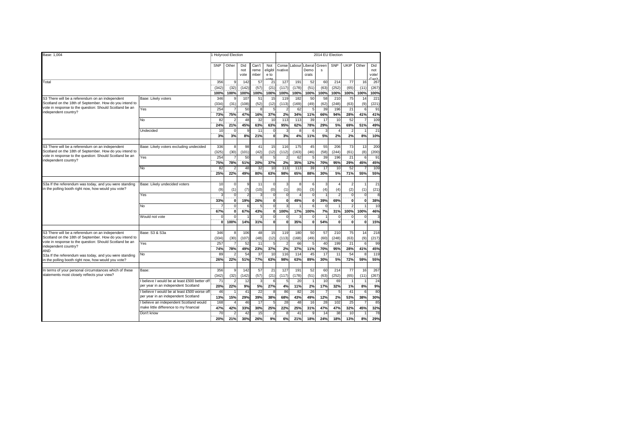| Base: 1,004                                                                                           |                                             |                 | 1 Holyrood Election      |                    |                       |                                  | 2014 EU Election |                |                          |            |                |                          |                |                                         |  |  |  |
|-------------------------------------------------------------------------------------------------------|---------------------------------------------|-----------------|--------------------------|--------------------|-----------------------|----------------------------------|------------------|----------------|--------------------------|------------|----------------|--------------------------|----------------|-----------------------------------------|--|--|--|
|                                                                                                       |                                             | SNP             | Other                    | Did<br>not<br>vote | Can't<br>reme<br>mber | Not<br>eligibl<br>e to<br>$\sim$ | Conse<br>rvative | Labour         | Liberal<br>Demo<br>crats | Green<br>s | SNP            | UKIP                     | Other          | Did<br>not<br>vote/<br>Can <sup>1</sup> |  |  |  |
| Total                                                                                                 |                                             | 356             | 9                        | 142                | 57                    | 2 <sup>1</sup>                   | 127              | 191            | 52                       | 60         | 214            | $\overline{77}$          | 16             | 267                                     |  |  |  |
|                                                                                                       |                                             | (342)           | (32)                     | (142)              | (57)                  | (21)                             | (117)            | (178)          | (51)                     | (63)       | (252)          | (65)                     | (11)           | (267)                                   |  |  |  |
|                                                                                                       |                                             | 100%            | 100%                     | 100%               | 100%                  | 100%                             | 100%             | 100%           | 100%                     | 100%       | 100%           | 100%                     | 100%           | 100%                                    |  |  |  |
| S3 There will be a referendum on an independent                                                       | Base: Likely voters                         | 346             |                          | 107                | 51                    | 15                               | 119              | 182            | 50                       | 58         | 210            | 75                       | 14             | 22'                                     |  |  |  |
| Scotland on the 18th of September. How do you intend to                                               |                                             | (334)           | (31)                     | (108)              | (52)                  | (12)                             | (113)            | (169)          | (49)                     | (62)       | (248)          | (63)                     | (9)            | (221)                                   |  |  |  |
| vote in response to the question: Should Scotland be an                                               | Yes                                         | 254             | $\overline{7}$           | 50                 | 8                     |                                  | $\overline{2}$   | 62             | 5                        | 39         | 196            | 21                       | 6              | 9 <sup>1</sup>                          |  |  |  |
| independent country?                                                                                  |                                             | 73%             | 75%                      | 47%                | 16%                   | 37%                              | 2%               | 34%            | 11%                      | 66%        | 94%            | 28%                      | 41%            | 41%                                     |  |  |  |
|                                                                                                       | No                                          | 82              | $\overline{2}$           | 48                 | 32                    | 10                               | 113              | 113            | 39                       | 17         | 10             | 52                       | $\overline{7}$ | 109                                     |  |  |  |
|                                                                                                       |                                             | 24%             | 21%                      | 45%                | 63%                   | 63%                              | 95%              | 62%            | 78%                      | 29%        | 5%             | 69%                      | 51%            | 49%                                     |  |  |  |
|                                                                                                       | Undecided                                   | 10              | $\mathbf 0$              | 9                  | 11                    |                                  | 3                | 8              | 6                        | 3          | $\Delta$       | $\overline{\mathbf{c}}$  | 1              | 21                                      |  |  |  |
|                                                                                                       |                                             | 3%              | 3%                       | 8%                 | 21%                   | $\mathbf{0}$                     | 3%               | 4%             | 11%                      | 5%         | 2%             | 2%                       | 8%             | 10%                                     |  |  |  |
|                                                                                                       |                                             |                 |                          |                    |                       |                                  |                  |                |                          |            |                |                          |                |                                         |  |  |  |
| S3 There will be a referendum on an independent                                                       | Base: Likely voters excluding undecided     | 336             | 8                        | 98                 | 41                    | 15                               | 116              | 175            | 45                       | 55         | 206            | 73                       | 13             | 200                                     |  |  |  |
| Scotland on the 18th of September. How do you intend to                                               |                                             | (325)           | (30)                     | (101)              | (42)                  | (12)                             | (112)            | (163)          | (46)                     | (58)       | (244)          | (61)                     | (8)            | (200)                                   |  |  |  |
| vote in response to the question: Should Scotland be an                                               | Yes                                         | 254             |                          | 50                 | $\overline{8}$        |                                  | 2                | 62             | 5                        | 39         | 196            | $\overline{21}$          | 6              | 91                                      |  |  |  |
| independent country?                                                                                  |                                             | 75%             |                          | 51%                | 20%                   | 37%                              |                  | 35%            |                          | 70%        | 95%            | 29%                      |                | 45%                                     |  |  |  |
|                                                                                                       |                                             |                 | 78%<br>2                 |                    |                       |                                  | 2%               |                | 12%                      |            |                |                          | 45%<br>7       |                                         |  |  |  |
|                                                                                                       | <b>No</b>                                   | 82              |                          | 48                 | 32                    | 10                               | 113              | 113            | 39                       | 17         | 10             | 52                       |                | 109                                     |  |  |  |
|                                                                                                       |                                             | 25%             | 22%                      | 49%                | 80%                   | 63%                              | 98%              | 65%            | 88%                      | 30%        | 5%             | 71%                      | 55%            | 55%                                     |  |  |  |
|                                                                                                       |                                             |                 |                          |                    |                       |                                  |                  |                |                          |            |                |                          |                |                                         |  |  |  |
| S3a If the referendum was today, and you were standing                                                | Base: Likely undecided voters               | 10              | $\mathbf 0$              | 9                  | 11                    | $\Omega$                         | 3                | 8              | 6                        | 3          | 4              | $\overline{2}$           | 1              | 21                                      |  |  |  |
| in the polling booth right now, how would you vote?                                                   |                                             | (9)             | (1)                      | (7)                | (10)                  | (0)                              | (1)              | (6)            | (3)                      | (4)        | (4)            | (2)                      | (1)            | (21)                                    |  |  |  |
|                                                                                                       | Yes                                         | 3               | $\mathbf 0$              | $\overline{c}$     | 3                     | $\mathbf 0$                      | $\mathbf 0$      | $\overline{a}$ | 0                        |            | $\overline{2}$ | $\pmb{0}$                | $\mathbf 0$    | 8                                       |  |  |  |
|                                                                                                       |                                             | 33%             | $\mathbf{0}$             | 19%                | 26%                   | $\bf{0}$                         | $\overline{0}$   | 49%            | $\mathbf{0}$             | 39%        | 69%            | ö                        | $\mathbf{0}$   | 38%                                     |  |  |  |
|                                                                                                       | No                                          | 7               | $\mathbf 0$              | 6                  | 5 <sup>5</sup>        | $\Omega$                         | 3                |                | 6                        | $\Omega$   |                | $\overline{\phantom{a}}$ | 1              | 10                                      |  |  |  |
|                                                                                                       |                                             | 67%             | $\mathbf{0}$             | 67%                | 43%                   | $\bf{0}$                         | 100%             | 17%            | 100%                     | 7%         | 31%            | 100%                     | 100%           | 46%                                     |  |  |  |
|                                                                                                       | Would not vote                              | $\Omega$        | $\overline{0}$           |                    | $\overline{3}$        | 0                                | $\mathbf 0$      | 3              | 0                        |            | $\mathbf 0$    | $\overline{0}$           | $\bf 0$        |                                         |  |  |  |
|                                                                                                       |                                             | $\mathbf{0}$    | 100%                     | 14%                | 31%                   | 0                                | $\mathbf 0$      | 35%            | $\mathbf 0$              | 54%        | $\mathbf 0$    | ö                        | $\mathbf{0}$   | 15%                                     |  |  |  |
|                                                                                                       |                                             |                 |                          |                    |                       |                                  |                  |                |                          |            |                |                          |                |                                         |  |  |  |
| S3 There will be a referendum on an independent                                                       | Base: S3 & S3a                              | 346             | 8                        | 106                | 48                    | 15                               | 119              | 180            | 50                       | 57         | 210            | 75                       | 14             | 218                                     |  |  |  |
| Scotland on the 18th of September. How do you intend to                                               |                                             | (334)           | (30)                     | (107)              | (48)                  | (12)                             | (113)            | (168)          | (49)                     | (60)       | (248)          | (63)                     | (9)            | (217)                                   |  |  |  |
| vote in response to the question: Should Scotland be an                                               | Yes                                         | 257             | $\overline{7}$           | 52                 | 11                    | 5                                | $\overline{c}$   | 66             | 5                        | 40         | 199            | 21                       | 6              | 99                                      |  |  |  |
| independent country?                                                                                  |                                             | 74%             | 78%                      | 49%                | 23%                   | 37%                              | 2%               | 37%            | 11%                      | 70%        | 95%            | 28%                      | 41%            | 45%                                     |  |  |  |
| AND                                                                                                   | No                                          | 89              | $\overline{\phantom{a}}$ | 54                 | 37                    | 10                               | 116              | 114            | 45                       | 17         | 11             | 54                       | 8              | 119                                     |  |  |  |
| S3a If the referendum was today, and you were standing                                                |                                             | 26%             | 22%                      | 51%                | 77%                   | 63%                              | 98%              | 63%            | 89%                      | 30%        | 5%             | 72%                      | 59%            | 55%                                     |  |  |  |
| in the polling booth right now, how would you vote?                                                   |                                             |                 |                          |                    |                       |                                  |                  |                |                          |            |                |                          |                |                                         |  |  |  |
|                                                                                                       | Base:                                       | 356             | 9                        | 142                | 57                    |                                  | 127              | 191            | 52                       | 60         | 214            | 77                       | 16             | 267                                     |  |  |  |
| In terms of your personal circumstances which of these<br>statements most closely reflects your view? |                                             |                 |                          |                    |                       | 21                               |                  |                |                          |            |                |                          |                |                                         |  |  |  |
|                                                                                                       |                                             | (342)           | (32)                     | (142)              | (57)                  | (21)                             | (117)            | (178)          | (51)                     | (63)       | (252)          | (65)                     | (11)           | (267)                                   |  |  |  |
|                                                                                                       | believe I would be at least £500 better off | $\overline{71}$ | $\overline{2}$           | 12                 | $\overline{3}$        |                                  | $\overline{5}$   | 20             |                          | 10         | 69             |                          |                | 24                                      |  |  |  |
|                                                                                                       | per year in an independent Scotland         | 20%             | 22%                      | 9%                 | 5%                    | 27%                              | 4%               | 11%            | 2%                       | <b>17%</b> | 32%            | 1%                       | 8%             | 9%                                      |  |  |  |
|                                                                                                       | believe I would be at least £500 worse off  | 46              |                          | 41                 | $\overline{22}$       |                                  | 86               | 82             | 26                       |            | 5              | 41                       | 6              | 80                                      |  |  |  |
|                                                                                                       | per year in an independent Scotland         | 13%             | 15%                      | 29%                | 39%                   | 38%                              | 68%              | 43%            | 49%                      | 12%        | 2%             | 53%                      | 38%            | 30%                                     |  |  |  |
|                                                                                                       | believe an independent Scotland would       | 168             | $\epsilon$               | 46                 | 17                    |                                  | 28               | 48             | 16                       | 28         | 102            | 25                       |                | 85                                      |  |  |  |
|                                                                                                       | make little difference to my financial      | 47%             | 42%                      | 33%                | 30%                   | 25%                              | 22%              | 25%            | 31%                      | 47%        | 47%            | 32%                      | 45%            | 32%                                     |  |  |  |
|                                                                                                       | Don't know                                  | 70              |                          | 42                 | 15                    |                                  | ε                | 41             | c                        | 14         | 38             | 10                       |                | 78                                      |  |  |  |
|                                                                                                       |                                             | 20%             | 21%                      | 30%                | 26%                   | 9%                               | 6%               | 21%            | 18%                      | 24%        | 18%            | 13%                      | 8%             | 29%                                     |  |  |  |